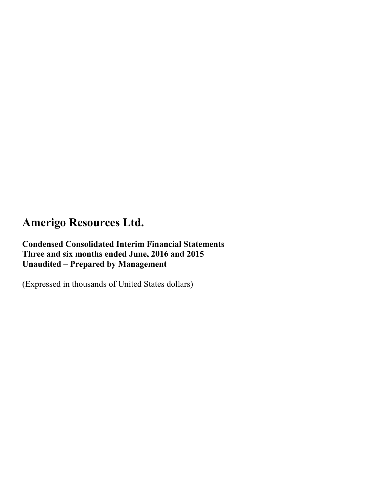**Condensed Consolidated Interim Financial Statements Three and six months ended June, 2016 and 2015 Unaudited – Prepared by Management**

(Expressed in thousands of United States dollars)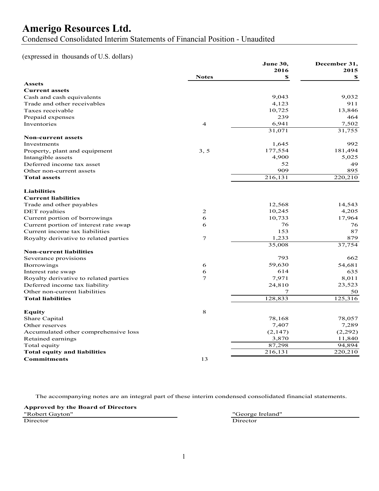Condensed Consolidated Interim Statements of Financial Position - Unaudited

(expressed in thousands of U.S. dollars)

| 2016<br>2015<br><b>Notes</b><br>\$<br>\$<br><b>Assets</b><br><b>Current assets</b><br>9,043<br>9,032<br>Cash and cash equivalents<br>4,123<br>911<br>Trade and other receivables<br>10,725<br>13,846<br>Taxes receivable<br>239<br>464<br>Prepaid expenses<br>6,941<br>7,502<br>Inventories<br>$\overline{4}$<br>31,071<br>31,755<br><b>Non-current assets</b><br>992<br>1,645<br>Investments<br>177,554<br>181,494<br>3, 5<br>Property, plant and equipment<br>4,900<br>5,025<br>Intangible assets<br>52<br>49<br>Deferred income tax asset<br>909<br>895<br>Other non-current assets<br><b>Total assets</b><br>216,131<br>220,210<br><b>Liabilities</b><br><b>Current liabilities</b><br>12,568<br>14,543<br>Trade and other payables<br>4,205<br>2<br>10,245<br><b>DET</b> royalties<br>6<br>10,733<br>17,964<br>Current portion of borrowings<br>76<br>6<br>76<br>Current portion of interest rate swap<br>153<br>87<br>Current income tax liabilities<br>1,233<br>879<br>$\tau$<br>Royalty derivative to related parties<br>35,008<br>37,754<br><b>Non-current liabilities</b><br>793<br>Severance provisions<br>662<br>59,630<br>54,681<br><b>Borrowings</b><br>6<br>614<br>635<br>6<br>Interest rate swap<br>7,971<br>8,011<br>$\tau$<br>Royalty derivative to related parties<br>23,523<br>Deferred income tax liability<br>24,810<br>Other non-current liabilities<br>7<br>50<br>125,316<br><b>Total liabilities</b><br>128,833<br>8<br>Equity<br>Share Capital<br>78,168<br>78,057<br>7,407<br>7,289<br>Other reserves<br>(2,147)<br>(2,292)<br>Accumulated other comprehensive loss<br>3,870<br>11,840<br>Retained earnings<br>87,298<br>94.894<br>Total equity<br>220,210<br><b>Total equity and liabilities</b><br>216,131<br>13<br><b>Commitments</b> |  | June 30, | December 31, |
|---------------------------------------------------------------------------------------------------------------------------------------------------------------------------------------------------------------------------------------------------------------------------------------------------------------------------------------------------------------------------------------------------------------------------------------------------------------------------------------------------------------------------------------------------------------------------------------------------------------------------------------------------------------------------------------------------------------------------------------------------------------------------------------------------------------------------------------------------------------------------------------------------------------------------------------------------------------------------------------------------------------------------------------------------------------------------------------------------------------------------------------------------------------------------------------------------------------------------------------------------------------------------------------------------------------------------------------------------------------------------------------------------------------------------------------------------------------------------------------------------------------------------------------------------------------------------------------------------------------------------------------------------------------------------------------------------------------------------------------------------------------------|--|----------|--------------|
|                                                                                                                                                                                                                                                                                                                                                                                                                                                                                                                                                                                                                                                                                                                                                                                                                                                                                                                                                                                                                                                                                                                                                                                                                                                                                                                                                                                                                                                                                                                                                                                                                                                                                                                                                                     |  |          |              |
|                                                                                                                                                                                                                                                                                                                                                                                                                                                                                                                                                                                                                                                                                                                                                                                                                                                                                                                                                                                                                                                                                                                                                                                                                                                                                                                                                                                                                                                                                                                                                                                                                                                                                                                                                                     |  |          |              |
|                                                                                                                                                                                                                                                                                                                                                                                                                                                                                                                                                                                                                                                                                                                                                                                                                                                                                                                                                                                                                                                                                                                                                                                                                                                                                                                                                                                                                                                                                                                                                                                                                                                                                                                                                                     |  |          |              |
|                                                                                                                                                                                                                                                                                                                                                                                                                                                                                                                                                                                                                                                                                                                                                                                                                                                                                                                                                                                                                                                                                                                                                                                                                                                                                                                                                                                                                                                                                                                                                                                                                                                                                                                                                                     |  |          |              |
|                                                                                                                                                                                                                                                                                                                                                                                                                                                                                                                                                                                                                                                                                                                                                                                                                                                                                                                                                                                                                                                                                                                                                                                                                                                                                                                                                                                                                                                                                                                                                                                                                                                                                                                                                                     |  |          |              |
|                                                                                                                                                                                                                                                                                                                                                                                                                                                                                                                                                                                                                                                                                                                                                                                                                                                                                                                                                                                                                                                                                                                                                                                                                                                                                                                                                                                                                                                                                                                                                                                                                                                                                                                                                                     |  |          |              |
|                                                                                                                                                                                                                                                                                                                                                                                                                                                                                                                                                                                                                                                                                                                                                                                                                                                                                                                                                                                                                                                                                                                                                                                                                                                                                                                                                                                                                                                                                                                                                                                                                                                                                                                                                                     |  |          |              |
|                                                                                                                                                                                                                                                                                                                                                                                                                                                                                                                                                                                                                                                                                                                                                                                                                                                                                                                                                                                                                                                                                                                                                                                                                                                                                                                                                                                                                                                                                                                                                                                                                                                                                                                                                                     |  |          |              |
|                                                                                                                                                                                                                                                                                                                                                                                                                                                                                                                                                                                                                                                                                                                                                                                                                                                                                                                                                                                                                                                                                                                                                                                                                                                                                                                                                                                                                                                                                                                                                                                                                                                                                                                                                                     |  |          |              |
|                                                                                                                                                                                                                                                                                                                                                                                                                                                                                                                                                                                                                                                                                                                                                                                                                                                                                                                                                                                                                                                                                                                                                                                                                                                                                                                                                                                                                                                                                                                                                                                                                                                                                                                                                                     |  |          |              |
|                                                                                                                                                                                                                                                                                                                                                                                                                                                                                                                                                                                                                                                                                                                                                                                                                                                                                                                                                                                                                                                                                                                                                                                                                                                                                                                                                                                                                                                                                                                                                                                                                                                                                                                                                                     |  |          |              |
|                                                                                                                                                                                                                                                                                                                                                                                                                                                                                                                                                                                                                                                                                                                                                                                                                                                                                                                                                                                                                                                                                                                                                                                                                                                                                                                                                                                                                                                                                                                                                                                                                                                                                                                                                                     |  |          |              |
|                                                                                                                                                                                                                                                                                                                                                                                                                                                                                                                                                                                                                                                                                                                                                                                                                                                                                                                                                                                                                                                                                                                                                                                                                                                                                                                                                                                                                                                                                                                                                                                                                                                                                                                                                                     |  |          |              |
|                                                                                                                                                                                                                                                                                                                                                                                                                                                                                                                                                                                                                                                                                                                                                                                                                                                                                                                                                                                                                                                                                                                                                                                                                                                                                                                                                                                                                                                                                                                                                                                                                                                                                                                                                                     |  |          |              |
|                                                                                                                                                                                                                                                                                                                                                                                                                                                                                                                                                                                                                                                                                                                                                                                                                                                                                                                                                                                                                                                                                                                                                                                                                                                                                                                                                                                                                                                                                                                                                                                                                                                                                                                                                                     |  |          |              |
|                                                                                                                                                                                                                                                                                                                                                                                                                                                                                                                                                                                                                                                                                                                                                                                                                                                                                                                                                                                                                                                                                                                                                                                                                                                                                                                                                                                                                                                                                                                                                                                                                                                                                                                                                                     |  |          |              |
|                                                                                                                                                                                                                                                                                                                                                                                                                                                                                                                                                                                                                                                                                                                                                                                                                                                                                                                                                                                                                                                                                                                                                                                                                                                                                                                                                                                                                                                                                                                                                                                                                                                                                                                                                                     |  |          |              |
|                                                                                                                                                                                                                                                                                                                                                                                                                                                                                                                                                                                                                                                                                                                                                                                                                                                                                                                                                                                                                                                                                                                                                                                                                                                                                                                                                                                                                                                                                                                                                                                                                                                                                                                                                                     |  |          |              |
|                                                                                                                                                                                                                                                                                                                                                                                                                                                                                                                                                                                                                                                                                                                                                                                                                                                                                                                                                                                                                                                                                                                                                                                                                                                                                                                                                                                                                                                                                                                                                                                                                                                                                                                                                                     |  |          |              |
|                                                                                                                                                                                                                                                                                                                                                                                                                                                                                                                                                                                                                                                                                                                                                                                                                                                                                                                                                                                                                                                                                                                                                                                                                                                                                                                                                                                                                                                                                                                                                                                                                                                                                                                                                                     |  |          |              |
|                                                                                                                                                                                                                                                                                                                                                                                                                                                                                                                                                                                                                                                                                                                                                                                                                                                                                                                                                                                                                                                                                                                                                                                                                                                                                                                                                                                                                                                                                                                                                                                                                                                                                                                                                                     |  |          |              |
|                                                                                                                                                                                                                                                                                                                                                                                                                                                                                                                                                                                                                                                                                                                                                                                                                                                                                                                                                                                                                                                                                                                                                                                                                                                                                                                                                                                                                                                                                                                                                                                                                                                                                                                                                                     |  |          |              |
|                                                                                                                                                                                                                                                                                                                                                                                                                                                                                                                                                                                                                                                                                                                                                                                                                                                                                                                                                                                                                                                                                                                                                                                                                                                                                                                                                                                                                                                                                                                                                                                                                                                                                                                                                                     |  |          |              |
|                                                                                                                                                                                                                                                                                                                                                                                                                                                                                                                                                                                                                                                                                                                                                                                                                                                                                                                                                                                                                                                                                                                                                                                                                                                                                                                                                                                                                                                                                                                                                                                                                                                                                                                                                                     |  |          |              |
|                                                                                                                                                                                                                                                                                                                                                                                                                                                                                                                                                                                                                                                                                                                                                                                                                                                                                                                                                                                                                                                                                                                                                                                                                                                                                                                                                                                                                                                                                                                                                                                                                                                                                                                                                                     |  |          |              |
|                                                                                                                                                                                                                                                                                                                                                                                                                                                                                                                                                                                                                                                                                                                                                                                                                                                                                                                                                                                                                                                                                                                                                                                                                                                                                                                                                                                                                                                                                                                                                                                                                                                                                                                                                                     |  |          |              |
|                                                                                                                                                                                                                                                                                                                                                                                                                                                                                                                                                                                                                                                                                                                                                                                                                                                                                                                                                                                                                                                                                                                                                                                                                                                                                                                                                                                                                                                                                                                                                                                                                                                                                                                                                                     |  |          |              |
|                                                                                                                                                                                                                                                                                                                                                                                                                                                                                                                                                                                                                                                                                                                                                                                                                                                                                                                                                                                                                                                                                                                                                                                                                                                                                                                                                                                                                                                                                                                                                                                                                                                                                                                                                                     |  |          |              |
|                                                                                                                                                                                                                                                                                                                                                                                                                                                                                                                                                                                                                                                                                                                                                                                                                                                                                                                                                                                                                                                                                                                                                                                                                                                                                                                                                                                                                                                                                                                                                                                                                                                                                                                                                                     |  |          |              |
|                                                                                                                                                                                                                                                                                                                                                                                                                                                                                                                                                                                                                                                                                                                                                                                                                                                                                                                                                                                                                                                                                                                                                                                                                                                                                                                                                                                                                                                                                                                                                                                                                                                                                                                                                                     |  |          |              |
|                                                                                                                                                                                                                                                                                                                                                                                                                                                                                                                                                                                                                                                                                                                                                                                                                                                                                                                                                                                                                                                                                                                                                                                                                                                                                                                                                                                                                                                                                                                                                                                                                                                                                                                                                                     |  |          |              |
|                                                                                                                                                                                                                                                                                                                                                                                                                                                                                                                                                                                                                                                                                                                                                                                                                                                                                                                                                                                                                                                                                                                                                                                                                                                                                                                                                                                                                                                                                                                                                                                                                                                                                                                                                                     |  |          |              |
|                                                                                                                                                                                                                                                                                                                                                                                                                                                                                                                                                                                                                                                                                                                                                                                                                                                                                                                                                                                                                                                                                                                                                                                                                                                                                                                                                                                                                                                                                                                                                                                                                                                                                                                                                                     |  |          |              |
|                                                                                                                                                                                                                                                                                                                                                                                                                                                                                                                                                                                                                                                                                                                                                                                                                                                                                                                                                                                                                                                                                                                                                                                                                                                                                                                                                                                                                                                                                                                                                                                                                                                                                                                                                                     |  |          |              |
|                                                                                                                                                                                                                                                                                                                                                                                                                                                                                                                                                                                                                                                                                                                                                                                                                                                                                                                                                                                                                                                                                                                                                                                                                                                                                                                                                                                                                                                                                                                                                                                                                                                                                                                                                                     |  |          |              |
|                                                                                                                                                                                                                                                                                                                                                                                                                                                                                                                                                                                                                                                                                                                                                                                                                                                                                                                                                                                                                                                                                                                                                                                                                                                                                                                                                                                                                                                                                                                                                                                                                                                                                                                                                                     |  |          |              |
|                                                                                                                                                                                                                                                                                                                                                                                                                                                                                                                                                                                                                                                                                                                                                                                                                                                                                                                                                                                                                                                                                                                                                                                                                                                                                                                                                                                                                                                                                                                                                                                                                                                                                                                                                                     |  |          |              |
|                                                                                                                                                                                                                                                                                                                                                                                                                                                                                                                                                                                                                                                                                                                                                                                                                                                                                                                                                                                                                                                                                                                                                                                                                                                                                                                                                                                                                                                                                                                                                                                                                                                                                                                                                                     |  |          |              |
|                                                                                                                                                                                                                                                                                                                                                                                                                                                                                                                                                                                                                                                                                                                                                                                                                                                                                                                                                                                                                                                                                                                                                                                                                                                                                                                                                                                                                                                                                                                                                                                                                                                                                                                                                                     |  |          |              |
|                                                                                                                                                                                                                                                                                                                                                                                                                                                                                                                                                                                                                                                                                                                                                                                                                                                                                                                                                                                                                                                                                                                                                                                                                                                                                                                                                                                                                                                                                                                                                                                                                                                                                                                                                                     |  |          |              |
|                                                                                                                                                                                                                                                                                                                                                                                                                                                                                                                                                                                                                                                                                                                                                                                                                                                                                                                                                                                                                                                                                                                                                                                                                                                                                                                                                                                                                                                                                                                                                                                                                                                                                                                                                                     |  |          |              |
|                                                                                                                                                                                                                                                                                                                                                                                                                                                                                                                                                                                                                                                                                                                                                                                                                                                                                                                                                                                                                                                                                                                                                                                                                                                                                                                                                                                                                                                                                                                                                                                                                                                                                                                                                                     |  |          |              |

The accompanying notes are an integral part of these interim condensed consolidated financial statements.

**Approved by the Board of Directors** "Robert Gayton" "George Ireland"

Director Director Director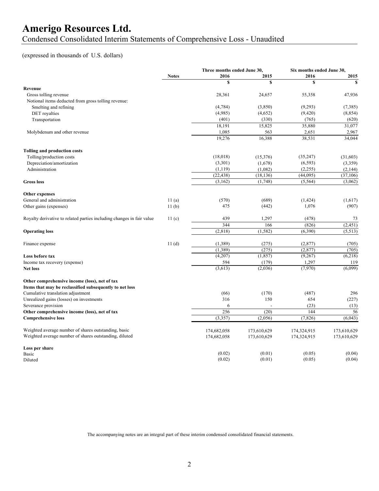Condensed Consolidated Interim Statements of Comprehensive Loss - Unaudited

### (expressed in thousands of U.S. dollars)

|                                                                       |              | Three months ended June 30, |             | Six months ended June 30, |              |
|-----------------------------------------------------------------------|--------------|-----------------------------|-------------|---------------------------|--------------|
|                                                                       | <b>Notes</b> | 2016                        | 2015        | 2016                      | 2015         |
|                                                                       |              | S                           | \$          | \$                        | $\mathbf{s}$ |
| Revenue                                                               |              |                             |             |                           |              |
| Gross tolling revenue                                                 |              | 28,361                      | 24,657      | 55,358                    | 47,936       |
| Notional items deducted from gross tolling revenue:                   |              |                             |             |                           |              |
| Smelting and refining                                                 |              | (4,784)                     | (3,850)     | (9,293)                   | (7,385)      |
| DET royalties                                                         |              | (4,985)                     | (4,652)     | (9,420)                   | (8, 854)     |
| Transportation                                                        |              | (401)                       | (330)       | (765)                     | (620)        |
|                                                                       |              | 18,191                      | 15,825      | 35,880                    | 31,077       |
| Molybdenum and other revenue                                          |              | 1,085                       | 563         | 2,651                     | 2,967        |
|                                                                       |              | 19,276                      | 16,388      | 38,531                    | 34,044       |
| Tolling and production costs                                          |              |                             |             |                           |              |
| Tolling/production costs                                              |              | (18,018)                    | (15,376)    | (35, 247)                 | (31,603)     |
| Depreciation/amortization                                             |              | (3,301)                     | (1,678)     | (6, 593)                  | (3,359)      |
| Administration                                                        |              | (1, 119)                    | (1,082)     | (2,255)                   | (2,144)      |
|                                                                       |              | (22, 438)                   | (18, 136)   | (44,095)                  | (37, 106)    |
| <b>Gross</b> loss                                                     |              | (3, 162)                    | (1,748)     | (5, 564)                  | (3,062)      |
| Other expenses                                                        |              |                             |             |                           |              |
| General and administration                                            | 11(a)        | (570)                       | (689)       | (1, 424)                  | (1,617)      |
| Other gains (expenses)                                                | 11(b)        | 475                         | (442)       | 1,076                     | (907)        |
| Royalty derivative to related parties including changes in fair value | 11(c)        | 439                         | 1,297       | (478)                     | 73           |
|                                                                       |              | 344                         | 166         | (826)                     | (2, 451)     |
| <b>Operating loss</b>                                                 |              | (2, 818)                    | (1, 582)    | (6, 390)                  | (5, 513)     |
| Finance expense                                                       | 11(d)        | (1,389)                     | (275)       | (2,877)                   | (705)        |
|                                                                       |              | (1, 389)                    | (275)       | (2, 877)                  | (705)        |
| Loss before tax                                                       |              | (4,207)                     | (1, 857)    | (9, 267)                  | (6,218)      |
| Income tax recovery (expense)                                         |              | 594                         | (179)       | 1,297                     | 119          |
| <b>Net loss</b>                                                       |              | (3,613)                     | (2,036)     | (7.970)                   | (6,099)      |
| Other comprehensive income (loss), net of tax                         |              |                             |             |                           |              |
| Items that may be reclassified subsequently to net loss               |              |                             |             |                           |              |
| Cumulative translation adjustment                                     |              | (66)                        | (170)       | (487)                     | 296          |
| Unrealized gains (losses) on investments                              |              | 316                         | 150         | 654                       | (227)        |
| Severance provision                                                   |              | 6                           |             | (23)                      | (13)         |
| Other comprehensive income (loss), net of tax                         |              | 256                         | (20)        | 144                       | 56           |
| <b>Comprehensive loss</b>                                             |              | (3,357)                     | (2,056)     | (7, 826)                  | (6,043)      |
| Weighted average number of shares outstanding, basic                  |              | 174,682,058                 | 173,610,629 | 174,324,915               | 173,610,629  |
| Weighted average number of shares outstanding, diluted                |              | 174,682,058                 | 173,610,629 | 174,324,915               | 173,610,629  |
| Loss per share                                                        |              |                             |             |                           |              |
| Basic                                                                 |              | (0.02)                      | (0.01)      | (0.05)                    | (0.04)       |
| Diluted                                                               |              | (0.02)                      | (0.01)      | (0.05)                    | (0.04)       |

The accompanying notes are an integral part of these interim condensed consolidated financial statements.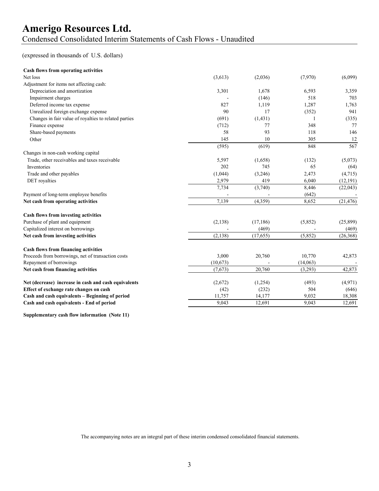### **Amerigo Resources Ltd.** Condensed Consolidated Interim Statements of Cash Flows - Unaudited

#### (expressed in thousands of U.S. dollars)

| <b>Cash flows from operating activities</b>           |          |           |          |           |
|-------------------------------------------------------|----------|-----------|----------|-----------|
| Net loss                                              | (3,613)  | (2,036)   | (7,970)  | (6,099)   |
| Adjustment for items not affecting cash:              |          |           |          |           |
| Depreciation and amortization                         | 3,301    | 1,678     | 6,593    | 3,359     |
| Impairment charges                                    |          | (146)     | 518      | 703       |
| Deferred income tax expense                           | 827      | 1,119     | 1,287    | 1,763     |
| Unrealized foreign exchange expense                   | 90       | 17        | (352)    | 941       |
| Changes in fair value of royalties to related parties | (691)    | (1, 431)  |          | (335)     |
| Finance expense                                       | (712)    | 77        | 348      | 77        |
| Share-based payments                                  | 58       | 93        | 118      | 146       |
| Other                                                 | 145      | 10        | 305      | 12        |
|                                                       | (595)    | (619)     | 848      | 567       |
| Changes in non-cash working capital                   |          |           |          |           |
| Trade, other receivables and taxes receivable         | 5,597    | (1,658)   | (132)    | (5,073)   |
| Inventories                                           | 202      | 745       | 65       | (64)      |
| Trade and other payables                              | (1,044)  | (3,246)   | 2,473    | (4,715)   |
| DET royalties                                         | 2,979    | 419       | 6,040    | (12, 191) |
|                                                       | 7,734    | (3,740)   | 8,446    | (22, 043) |
| Payment of long-term employee benefits                |          |           | (642)    |           |
| Net cash from operating activities                    | 7,139    | (4,359)   | 8,652    | (21, 476) |
| Cash flows from investing activities                  |          |           |          |           |
| Purchase of plant and equipment                       | (2, 138) | (17, 186) | (5,852)  | (25,899)  |
| Capitalized interest on borrowings                    |          | (469)     |          | (469)     |
| Net cash from investing activities                    | (2, 138) | (17,655)  | (5,852)  | (26, 368) |
| <b>Cash flows from financing activities</b>           |          |           |          |           |
| Proceeds from borrowings, net of transaction costs    | 3,000    | 20,760    | 10,770   | 42,873    |
| Repayment of borrowings                               | (10,673) |           | (14,063) |           |
| Net cash from financing activities                    | (7,673)  | 20,760    | (3,293)  | 42,873    |
| Net (decrease) increase in cash and cash equivalents  | (2,672)  | (1,254)   | (493)    | (4,971)   |
| Effect of exchange rate changes on cash               | (42)     | (232)     | 504      | (646)     |
| Cash and cash equivalents - Beginning of period       | 11,757   | 14,177    | 9,032    | 18,308    |
| Cash and cash equivalents - End of period             | 9,043    | 12,691    | 9.043    | 12,691    |
|                                                       |          |           |          |           |

**Supplementary cash flow information (Note 11)**

The accompanying notes are an integral part of these interim condensed consolidated financial statements.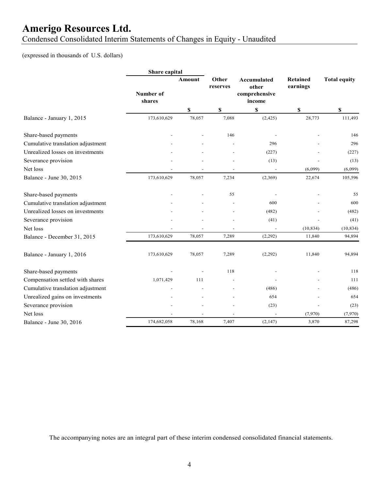Condensed Consolidated Interim Statements of Changes in Equity - Unaudited

### (expressed in thousands of U.S. dollars)

|                                   | Share capital       |        |                           |                                                 |                             |                     |
|-----------------------------------|---------------------|--------|---------------------------|-------------------------------------------------|-----------------------------|---------------------|
|                                   | Number of<br>shares | Amount | Other<br>reserves         | Accumulated<br>other<br>comprehensive<br>income | <b>Retained</b><br>earnings | <b>Total equity</b> |
|                                   |                     | \$     | $\boldsymbol{\mathsf{S}}$ | \$                                              | \$                          | \$                  |
| Balance - January 1, 2015         | 173,610,629         | 78,057 | 7,088                     | (2, 425)                                        | 28,773                      | 111,493             |
| Share-based payments              |                     |        | 146                       |                                                 |                             | 146                 |
| Cumulative translation adjustment |                     |        |                           | 296                                             |                             | 296                 |
| Unrealized losses on investments  |                     |        |                           | (227)                                           |                             | (227)               |
| Severance provision               |                     |        |                           | (13)                                            |                             | (13)                |
| Net loss                          |                     |        |                           |                                                 | (6,099)                     | (6,099)             |
| Balance - June 30, 2015           | 173,610,629         | 78,057 | 7,234                     | (2,369)                                         | 22,674                      | 105,596             |
| Share-based payments              |                     |        | 55                        |                                                 |                             | 55                  |
| Cumulative translation adjustment |                     |        |                           | 600                                             |                             | 600                 |
| Unrealized losses on investments  |                     |        |                           | (482)                                           |                             | (482)               |
| Severance provision               |                     |        |                           | (41)                                            |                             | (41)                |
| Net loss                          |                     |        |                           | $\overline{a}$                                  | (10, 834)                   | (10, 834)           |
| Balance - December 31, 2015       | 173,610,629         | 78,057 | 7,289                     | (2,292)                                         | 11,840                      | 94,894              |
| Balance - January 1, 2016         | 173,610,629         | 78,057 | 7,289                     | (2,292)                                         | 11,840                      | 94,894              |
| Share-based payments              |                     |        | 118                       |                                                 |                             | 118                 |
| Compensation settled with shares  | 1,071,429           | 111    |                           |                                                 |                             | 111                 |
| Cumulative translation adjustment |                     |        |                           | (486)                                           |                             | (486)               |
| Unrealized gains on investments   |                     |        |                           | 654                                             |                             | 654                 |
| Severance provision               |                     |        |                           | (23)                                            |                             | (23)                |
| Net loss                          |                     |        |                           |                                                 | (7,970)                     | (7,970)             |
| Balance - June 30, 2016           | 174,682,058         | 78,168 | 7,407                     | (2,147)                                         | 3,870                       | 87,298              |

The accompanying notes are an integral part of these interim condensed consolidated financial statements.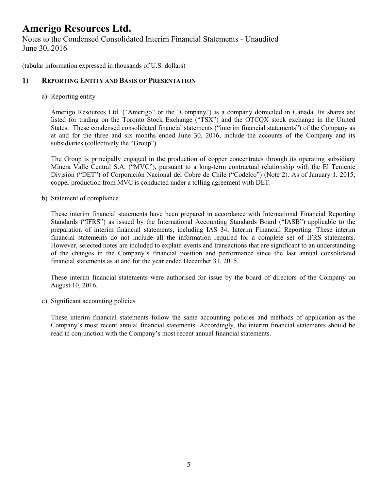Notes to the Condensed Consolidated Interim Financial Statements - Unaudited June 30, 2016

(tabular information expressed in thousands of U.S. dollars)

#### **1) REPORTING ENTITY AND BASIS OF PRESENTATION**

a) Reporting entity

Amerigo Resources Ltd. ("Amerigo" or the "Company") is a company domiciled in Canada. Its shares are listed for trading on the Toronto Stock Exchange ("TSX") and the OTCQX stock exchange in the United States. These condensed consolidated financial statements ("interim financial statements") of the Company as at and for the three and six months ended June 30, 2016, include the accounts of the Company and its subsidiaries (collectively the "Group").

The Group is principally engaged in the production of copper concentrates through its operating subsidiary Minera Valle Central S.A. ("MVC"), pursuant to a long-term contractual relationship with the El Teniente Division ("DET") of Corporación Nacional del Cobre de Chile ("Codelco") (Note 2). As of January 1, 2015, copper production from MVC is conducted under a tolling agreement with DET.

b) Statement of compliance

These interim financial statements have been prepared in accordance with International Financial Reporting Standards ("IFRS") as issued by the International Accounting Standards Board ("IASB") applicable to the preparation of interim financial statements, including IAS 34, Interim Financial Reporting. These interim financial statements do not include all the information required for a complete set of IFRS statements. However, selected notes are included to explain events and transactions that are significant to an understanding of the changes in the Company's financial position and performance since the last annual consolidated financial statements as at and for the year ended December 31, 2015.

These interim financial statements were authorised for issue by the board of directors of the Company on August 10, 2016.

c) Significant accounting policies

These interim financial statements follow the same accounting policies and methods of application as the Company's most recent annual financial statements. Accordingly, the interim financial statements should be read in conjunction with the Company's most recent annual financial statements.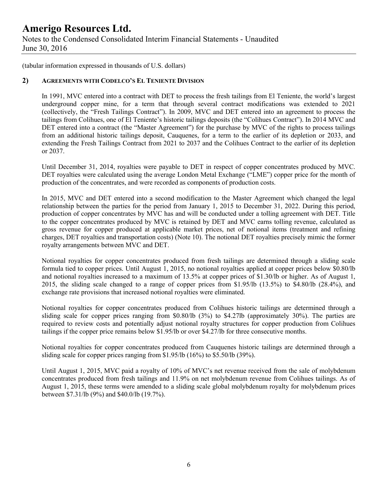### **Amerigo Resources Ltd.** Notes to the Condensed Consolidated Interim Financial Statements - Unaudited June 30, 2016

(tabular information expressed in thousands of U.S. dollars)

#### **2) AGREEMENTS WITH CODELCO'S EL TENIENTE DIVISION**

In 1991, MVC entered into a contract with DET to process the fresh tailings from El Teniente, the world's largest underground copper mine, for a term that through several contract modifications was extended to 2021 (collectively, the "Fresh Tailings Contract"). In 2009, MVC and DET entered into an agreement to process the tailings from Colihues, one of El Teniente's historic tailings deposits (the "Colihues Contract"). In 2014 MVC and DET entered into a contract (the "Master Agreement") for the purchase by MVC of the rights to process tailings from an additional historic tailings deposit, Cauquenes, for a term to the earlier of its depletion or 2033, and extending the Fresh Tailings Contract from 2021 to 2037 and the Colihues Contract to the earlier of its depletion or 2037.

Until December 31, 2014, royalties were payable to DET in respect of copper concentrates produced by MVC. DET royalties were calculated using the average London Metal Exchange ("LME") copper price for the month of production of the concentrates, and were recorded as components of production costs.

In 2015, MVC and DET entered into a second modification to the Master Agreement which changed the legal relationship between the parties for the period from January 1, 2015 to December 31, 2022. During this period, production of copper concentrates by MVC has and will be conducted under a tolling agreement with DET. Title to the copper concentrates produced by MVC is retained by DET and MVC earns tolling revenue, calculated as gross revenue for copper produced at applicable market prices, net of notional items (treatment and refining charges, DET royalties and transportation costs) (Note 10). The notional DET royalties precisely mimic the former royalty arrangements between MVC and DET.

Notional royalties for copper concentrates produced from fresh tailings are determined through a sliding scale formula tied to copper prices. Until August 1, 2015, no notional royalties applied at copper prices below \$0.80/lb and notional royalties increased to a maximum of 13.5% at copper prices of \$1.30/lb or higher. As of August 1, 2015, the sliding scale changed to a range of copper prices from \$1.95/lb (13.5%) to \$4.80/lb (28.4%), and exchange rate provisions that increased notional royalties were eliminated.

Notional royalties for copper concentrates produced from Colihues historic tailings are determined through a sliding scale for copper prices ranging from \$0.80/lb (3%) to \$4.27lb (approximately 30%). The parties are required to review costs and potentially adjust notional royalty structures for copper production from Colihues tailings if the copper price remains below \$1.95/lb or over \$4.27/lb for three consecutive months.

Notional royalties for copper concentrates produced from Cauquenes historic tailings are determined through a sliding scale for copper prices ranging from \$1.95/lb (16%) to \$5.50/lb (39%).

Until August 1, 2015, MVC paid a royalty of 10% of MVC's net revenue received from the sale of molybdenum concentrates produced from fresh tailings and 11.9% on net molybdenum revenue from Colihues tailings. As of August 1, 2015, these terms were amended to a sliding scale global molybdenum royalty for molybdenum prices between \$7.31/lb (9%) and \$40.0/lb (19.7%).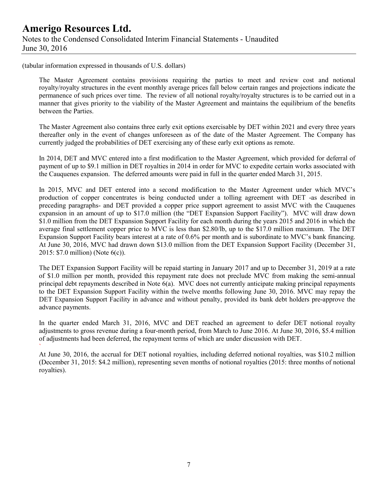(tabular information expressed in thousands of U.S. dollars)

`

The Master Agreement contains provisions requiring the parties to meet and review cost and notional royalty/royalty structures in the event monthly average prices fall below certain ranges and projections indicate the permanence of such prices over time. The review of all notional royalty/royalty structures is to be carried out in a manner that gives priority to the viability of the Master Agreement and maintains the equilibrium of the benefits between the Parties.

The Master Agreement also contains three early exit options exercisable by DET within 2021 and every three years thereafter only in the event of changes unforeseen as of the date of the Master Agreement. The Company has currently judged the probabilities of DET exercising any of these early exit options as remote.

In 2014, DET and MVC entered into a first modification to the Master Agreement, which provided for deferral of payment of up to \$9.1 million in DET royalties in 2014 in order for MVC to expedite certain works associated with the Cauquenes expansion. The deferred amounts were paid in full in the quarter ended March 31, 2015.

In 2015, MVC and DET entered into a second modification to the Master Agreement under which MVC's production of copper concentrates is being conducted under a tolling agreement with DET -as described in preceding paragraphs- and DET provided a copper price support agreement to assist MVC with the Cauquenes expansion in an amount of up to \$17.0 million (the "DET Expansion Support Facility"). MVC will draw down \$1.0 million from the DET Expansion Support Facility for each month during the years 2015 and 2016 in which the average final settlement copper price to MVC is less than \$2.80/lb, up to the \$17.0 million maximum. The DET Expansion Support Facility bears interest at a rate of 0.6% per month and is subordinate to MVC's bank financing. At June 30, 2016, MVC had drawn down \$13.0 million from the DET Expansion Support Facility (December 31, 2015: \$7.0 million) (Note 6(c)).

The DET Expansion Support Facility will be repaid starting in January 2017 and up to December 31, 2019 at a rate of \$1.0 million per month, provided this repayment rate does not preclude MVC from making the semi-annual principal debt repayments described in Note 6(a). MVC does not currently anticipate making principal repayments to the DET Expansion Support Facility within the twelve months following June 30, 2016. MVC may repay the DET Expansion Support Facility in advance and without penalty, provided its bank debt holders pre-approve the advance payments.

In the quarter ended March 31, 2016, MVC and DET reached an agreement to defer DET notional royalty adjustments to gross revenue during a four-month period, from March to June 2016. At June 30, 2016, \$5.4 million of adjustments had been deferred, the repayment terms of which are under discussion with DET.

At June 30, 2016, the accrual for DET notional royalties, including deferred notional royalties, was \$10.2 million (December 31, 2015: \$4.2 million), representing seven months of notional royalties (2015: three months of notional royalties).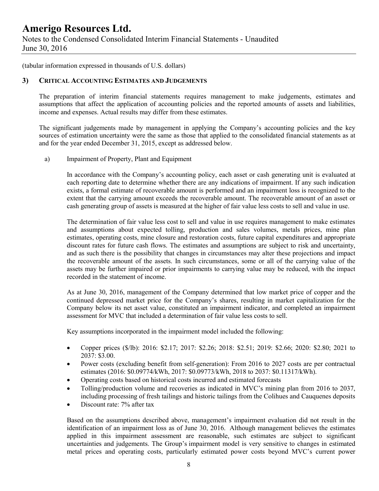Notes to the Condensed Consolidated Interim Financial Statements - Unaudited June 30, 2016

(tabular information expressed in thousands of U.S. dollars)

#### **3) CRITICAL ACCOUNTING ESTIMATES AND JUDGEMENTS**

The preparation of interim financial statements requires management to make judgements, estimates and assumptions that affect the application of accounting policies and the reported amounts of assets and liabilities, income and expenses. Actual results may differ from these estimates.

The significant judgements made by management in applying the Company's accounting policies and the key sources of estimation uncertainty were the same as those that applied to the consolidated financial statements as at and for the year ended December 31, 2015, except as addressed below.

a) Impairment of Property, Plant and Equipment

In accordance with the Company's accounting policy, each asset or cash generating unit is evaluated at each reporting date to determine whether there are any indications of impairment. If any such indication exists, a formal estimate of recoverable amount is performed and an impairment loss is recognized to the extent that the carrying amount exceeds the recoverable amount. The recoverable amount of an asset or cash generating group of assets is measured at the higher of fair value less costs to sell and value in use.

The determination of fair value less cost to sell and value in use requires management to make estimates and assumptions about expected tolling, production and sales volumes, metals prices, mine plan estimates, operating costs, mine closure and restoration costs, future capital expenditures and appropriate discount rates for future cash flows. The estimates and assumptions are subject to risk and uncertainty, and as such there is the possibility that changes in circumstances may alter these projections and impact the recoverable amount of the assets. In such circumstances, some or all of the carrying value of the assets may be further impaired or prior impairments to carrying value may be reduced, with the impact recorded in the statement of income.

As at June 30, 2016, management of the Company determined that low market price of copper and the continued depressed market price for the Company's shares, resulting in market capitalization for the Company below its net asset value, constituted an impairment indicator, and completed an impairment assessment for MVC that included a determination of fair value less costs to sell.

Key assumptions incorporated in the impairment model included the following:

- Copper prices (\$/lb): 2016: \$2.17; 2017: \$2.26; 2018: \$2.51; 2019: \$2.66; 2020: \$2.80; 2021 to 2037: \$3.00.
- Power costs (excluding benefit from self-generation): From 2016 to 2027 costs are per contractual estimates (2016: \$0.09774/kWh, 2017: \$0.09773/kWh, 2018 to 2037: \$0.11317/kWh).
- Operating costs based on historical costs incurred and estimated forecasts
- Tolling/production volume and recoveries as indicated in MVC's mining plan from 2016 to 2037, including processing of fresh tailings and historic tailings from the Colihues and Cauquenes deposits
- Discount rate: 7% after tax

Based on the assumptions described above, management's impairment evaluation did not result in the identification of an impairment loss as of June 30, 2016. Although management believes the estimates applied in this impairment assessment are reasonable, such estimates are subject to significant uncertainties and judgements. The Group's impairment model is very sensitive to changes in estimated metal prices and operating costs, particularly estimated power costs beyond MVC's current power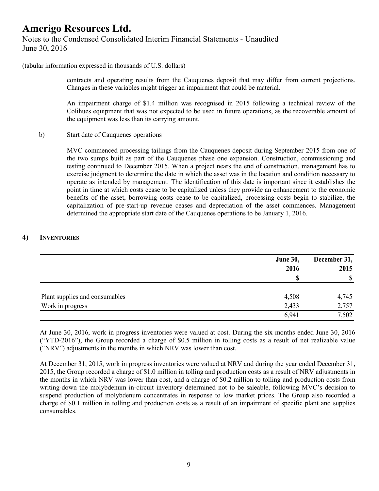(tabular information expressed in thousands of U.S. dollars)

contracts and operating results from the Cauquenes deposit that may differ from current projections. Changes in these variables might trigger an impairment that could be material.

An impairment charge of \$1.4 million was recognised in 2015 following a technical review of the Colihues equipment that was not expected to be used in future operations, as the recoverable amount of the equipment was less than its carrying amount.

b) Start date of Cauquenes operations

MVC commenced processing tailings from the Cauquenes deposit during September 2015 from one of the two sumps built as part of the Cauquenes phase one expansion. Construction, commissioning and testing continued to December 2015. When a project nears the end of construction, management has to exercise judgment to determine the date in which the asset was in the location and condition necessary to operate as intended by management. The identification of this date is important since it establishes the point in time at which costs cease to be capitalized unless they provide an enhancement to the economic benefits of the asset, borrowing costs cease to be capitalized, processing costs begin to stabilize, the capitalization of pre-start-up revenue ceases and depreciation of the asset commences. Management determined the appropriate start date of the Cauquenes operations to be January 1, 2016.

#### **4) INVENTORIES**

|                                | <b>June 30,</b><br>2016<br>\$ | December 31,<br>2015<br>$\boldsymbol{\mathsf{S}}$ |
|--------------------------------|-------------------------------|---------------------------------------------------|
| Plant supplies and consumables | 4,508                         | 4,745                                             |
| Work in progress               | 2,433                         | 2,757                                             |
|                                | 6,941                         | 7,502                                             |

At June 30, 2016, work in progress inventories were valued at cost. During the six months ended June 30, 2016 ("YTD-2016"), the Group recorded a charge of \$0.5 million in tolling costs as a result of net realizable value ("NRV") adjustments in the months in which NRV was lower than cost.

At December 31, 2015, work in progress inventories were valued at NRV and during the year ended December 31, 2015, the Group recorded a charge of \$1.0 million in tolling and production costs as a result of NRV adjustments in the months in which NRV was lower than cost, and a charge of \$0.2 million to tolling and production costs from writing-down the molybdenum in-circuit inventory determined not to be saleable, following MVC's decision to suspend production of molybdenum concentrates in response to low market prices. The Group also recorded a charge of \$0.1 million in tolling and production costs as a result of an impairment of specific plant and supplies consumables.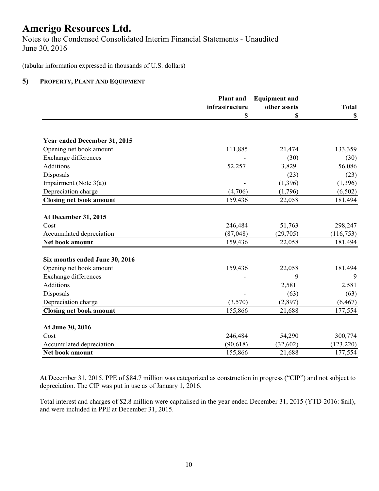Notes to the Condensed Consolidated Interim Financial Statements - Unaudited June 30, 2016

(tabular information expressed in thousands of U.S. dollars)

#### **5) PROPERTY, PLANT AND EQUIPMENT**

|                                | <b>Plant</b> and | <b>Equipment and</b> |                           |
|--------------------------------|------------------|----------------------|---------------------------|
|                                | infrastructure   | other assets         | <b>Total</b>              |
|                                | \$               | \$                   | $\boldsymbol{\mathsf{S}}$ |
| Year ended December 31, 2015   |                  |                      |                           |
| Opening net book amount        | 111,885          | 21,474               | 133,359                   |
| <b>Exchange differences</b>    |                  | (30)                 | (30)                      |
| Additions                      | 52,257           | 3,829                | 56,086                    |
| Disposals                      |                  | (23)                 | (23)                      |
| Impairment (Note $3(a)$ )      |                  | (1, 396)             | (1, 396)                  |
| Depreciation charge            | (4,706)          | (1,796)              | (6, 502)                  |
| <b>Closing net book amount</b> | 159,436          | 22,058               | 181,494                   |
|                                |                  |                      |                           |
| At December 31, 2015           |                  |                      |                           |
| Cost                           | 246,484          | 51,763               | 298,247                   |
| Accumulated depreciation       | (87, 048)        | (29,705)             | (116, 753)                |
| Net book amount                | 159,436          | 22,058               | 181,494                   |
| Six months ended June 30, 2016 |                  |                      |                           |
| Opening net book amount        | 159,436          | 22,058               | 181,494                   |
| <b>Exchange differences</b>    |                  | 9                    | 9                         |
| <b>Additions</b>               |                  | 2,581                | 2,581                     |
| Disposals                      |                  | (63)                 | (63)                      |
| Depreciation charge            | (3,570)          | (2,897)              | (6, 467)                  |
| <b>Closing net book amount</b> | 155,866          | 21,688               | 177,554                   |
|                                |                  |                      |                           |
| At June 30, 2016               |                  |                      |                           |
| Cost                           | 246,484          | 54,290               | 300,774                   |
| Accumulated depreciation       | (90, 618)        | (32, 602)            | (123, 220)                |
| Net book amount                | 155,866          | 21,688               | 177,554                   |

At December 31, 2015, PPE of \$84.7 million was categorized as construction in progress ("CIP") and not subject to depreciation. The CIP was put in use as of January 1, 2016.

Total interest and charges of \$2.8 million were capitalised in the year ended December 31, 2015 (YTD-2016: \$nil), and were included in PPE at December 31, 2015.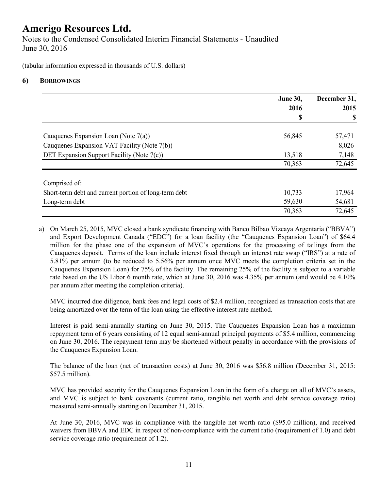Notes to the Condensed Consolidated Interim Financial Statements - Unaudited June 30, 2016

(tabular information expressed in thousands of U.S. dollars)

### **6) BORROWINGS**

|                                                       | <b>June 30,</b> | December 31, |
|-------------------------------------------------------|-----------------|--------------|
|                                                       | 2016            | 2015         |
|                                                       |                 |              |
| Cauquenes Expansion Loan (Note 7(a))                  | 56,845          | 57,471       |
| Cauquenes Expansion VAT Facility (Note 7(b))          |                 | 8,026        |
| DET Expansion Support Facility (Note 7(c))            | 13,518          | 7,148        |
|                                                       | 70,363          | 72,645       |
| Comprised of:                                         |                 |              |
| Short-term debt and current portion of long-term debt | 10,733          | 17,964       |
| Long-term debt                                        | 59,630          | 54,681       |
|                                                       | 70,363          | 72,645       |

a) On March 25, 2015, MVC closed a bank syndicate financing with Banco Bilbao Vizcaya Argentaria ("BBVA") and Export Development Canada ("EDC") for a loan facility (the "Cauquenes Expansion Loan") of \$64.4 million for the phase one of the expansion of MVC's operations for the processing of tailings from the Cauquenes deposit. Terms of the loan include interest fixed through an interest rate swap ("IRS") at a rate of 5.81% per annum (to be reduced to 5.56% per annum once MVC meets the completion criteria set in the Cauquenes Expansion Loan) for 75% of the facility. The remaining 25% of the facility is subject to a variable rate based on the US Libor 6 month rate, which at June 30, 2016 was 4.35% per annum (and would be 4.10% per annum after meeting the completion criteria).

MVC incurred due diligence, bank fees and legal costs of \$2.4 million, recognized as transaction costs that are being amortized over the term of the loan using the effective interest rate method.

Interest is paid semi-annually starting on June 30, 2015. The Cauquenes Expansion Loan has a maximum repayment term of 6 years consisting of 12 equal semi-annual principal payments of \$5.4 million, commencing on June 30, 2016. The repayment term may be shortened without penalty in accordance with the provisions of the Cauquenes Expansion Loan.

The balance of the loan (net of transaction costs) at June 30, 2016 was \$56.8 million (December 31, 2015: \$57.5 million).

MVC has provided security for the Cauquenes Expansion Loan in the form of a charge on all of MVC's assets, and MVC is subject to bank covenants (current ratio, tangible net worth and debt service coverage ratio) measured semi-annually starting on December 31, 2015.

At June 30, 2016, MVC was in compliance with the tangible net worth ratio (\$95.0 million), and received waivers from BBVA and EDC in respect of non-compliance with the current ratio (requirement of 1.0) and debt service coverage ratio (requirement of 1.2).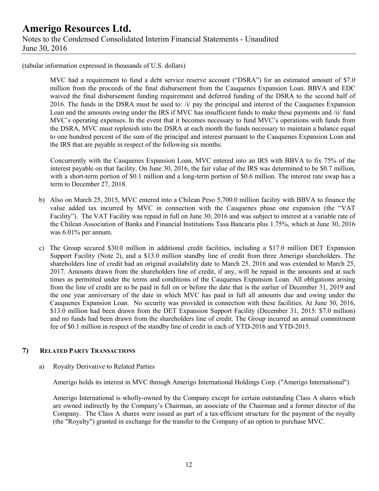(tabular information expressed in thousands of U.S. dollars)

MVC had a requirement to fund a debt service reserve account ("DSRA") for an estimated amount of \$7.0 million from the proceeds of the final disbursement from the Cauquenes Expansion Loan. BBVA and EDC waived the final disbursement funding requirement and deferred funding of the DSRA to the second half of 2016. The funds in the DSRA must be used to: /i/ pay the principal and interest of the Cauquenes Expansion Loan and the amounts owing under the IRS if MVC has insufficient funds to make these payments and /ii/ fund MVC's operating expenses. In the event that it becomes necessary to fund MVC's operations with funds from the DSRA, MVC must replenish into the DSRA at each month the funds necessary to maintain a balance equal to one hundred percent of the sum of the principal and interest pursuant to the Cauquenes Expansion Loan and the IRS that are payable in respect of the following six months.

Concurrently with the Cauquenes Expansion Loan, MVC entered into an IRS with BBVA to fix 75% of the interest payable on that facility. On June 30, 2016, the fair value of the IRS was determined to be \$0.7 million, with a short-term portion of \$0.1 million and a long-term portion of \$0.6 million. The interest rate swap has a term to December 27, 2018.

- b) Also on March 25, 2015, MVC entered into a Chilean Peso 5,700.0 million facility with BBVA to finance the value added tax incurred by MVC in connection with the Cauquenes phase one expansion (the "VAT Facility"). The VAT Facility was repaid in full on June 30, 2016 and was subject to interest at a variable rate of the Chilean Association of Banks and Financial Institutions Tasa Bancaria plus 1.75%, which at June 30, 2016 was 6.01% per annum.
- c) The Group secured \$30.0 million in additional credit facilities, including a \$17.0 million DET Expansion Support Facility (Note 2), and a \$13.0 million standby line of credit from three Amerigo shareholders. The shareholders line of credit had an original availability date to March 25, 2016 and was extended to March 25, 2017. Amounts drawn from the shareholders line of credit, if any, will be repaid in the amounts and at such times as permitted under the terms and conditions of the Cauquenes Expansion Loan. All obligations arising from the line of credit are to be paid in full on or before the date that is the earlier of December 31, 2019 and the one year anniversary of the date in which MVC has paid in full all amounts due and owing under the Cauquenes Expansion Loan. No security was provided in connection with these facilities. At June 30, 2016, \$13.0 million had been drawn from the DET Expansion Support Facility (December 31, 2015: \$7.0 million) and no funds had been drawn from the shareholders line of credit. The Group incurred an annual commitment fee of \$0.1 million in respect of the standby line of credit in each of YTD-2016 and YTD-2015.

#### **7) RELATED PARTY TRANSACTIONS**

a) Royalty Derivative to Related Parties

Amerigo holds its interest in MVC through Amerigo International Holdings Corp. ("Amerigo International").

Amerigo International is wholly-owned by the Company except for certain outstanding Class A shares which are owned indirectly by the Company's Chairman, an associate of the Chairman and a former director of the Company. The Class A shares were issued as part of a tax-efficient structure for the payment of the royalty (the "Royalty") granted in exchange for the transfer to the Company of an option to purchase MVC.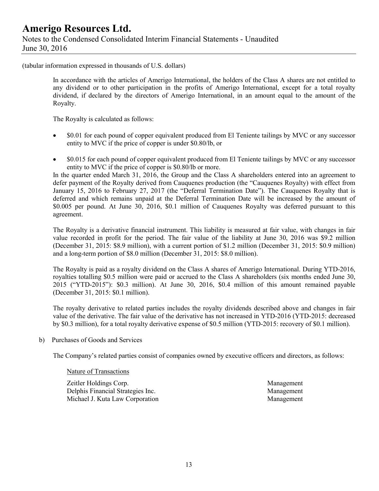### **Amerigo Resources Ltd.** Notes to the Condensed Consolidated Interim Financial Statements - Unaudited June 30, 2016

(tabular information expressed in thousands of U.S. dollars)

In accordance with the articles of Amerigo International, the holders of the Class A shares are not entitled to any dividend or to other participation in the profits of Amerigo International, except for a total royalty dividend, if declared by the directors of Amerigo International, in an amount equal to the amount of the Royalty.

The Royalty is calculated as follows:

- \$0.01 for each pound of copper equivalent produced from El Teniente tailings by MVC or any successor entity to MVC if the price of copper is under \$0.80/lb, or
- $\degree$  \$0.015 for each pound of copper equivalent produced from El Teniente tailings by MVC or any successor entity to MVC if the price of copper is \$0.80/lb or more.

In the quarter ended March 31, 2016, the Group and the Class A shareholders entered into an agreement to defer payment of the Royalty derived from Cauquenes production (the "Cauquenes Royalty) with effect from January 15, 2016 to February 27, 2017 (the "Deferral Termination Date"). The Cauquenes Royalty that is deferred and which remains unpaid at the Deferral Termination Date will be increased by the amount of \$0.005 per pound. At June 30, 2016, \$0.1 million of Cauquenes Royalty was deferred pursuant to this agreement.

The Royalty is a derivative financial instrument. This liability is measured at fair value, with changes in fair value recorded in profit for the period. The fair value of the liability at June 30, 2016 was \$9.2 million (December 31, 2015: \$8.9 million), with a current portion of \$1.2 million (December 31, 2015: \$0.9 million) and a long-term portion of \$8.0 million (December 31, 2015: \$8.0 million).

The Royalty is paid as a royalty dividend on the Class A shares of Amerigo International. During YTD-2016, royalties totalling \$0.5 million were paid or accrued to the Class A shareholders (six months ended June 30, 2015 ("YTD-2015"): \$0.3 million). At June 30, 2016, \$0.4 million of this amount remained payable (December 31, 2015: \$0.1 million).

The royalty derivative to related parties includes the royalty dividends described above and changes in fair value of the derivative. The fair value of the derivative has not increased in YTD-2016 (YTD-2015: decreased by \$0.3 million), for a total royalty derivative expense of \$0.5 million (YTD-2015: recovery of \$0.1 million).

b) Purchases of Goods and Services

The Company's related parties consist of companies owned by executive officers and directors, as follows:

#### Nature of Transactions

Zeitler Holdings Corp. Management Delphis Financial Strategies Inc. Management Michael J. Kuta Law Corporation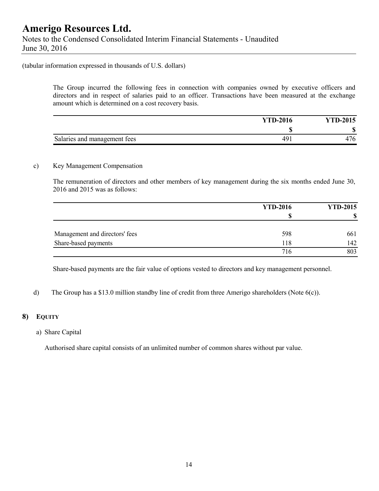#### (tabular information expressed in thousands of U.S. dollars)

The Group incurred the following fees in connection with companies owned by executive officers and directors and in respect of salaries paid to an officer. Transactions have been measured at the exchange amount which is determined on a cost recovery basis.

|                              | <b>YTD-2016</b> | <b>YTD-2015</b> |
|------------------------------|-----------------|-----------------|
|                              |                 | Л.              |
| Salaries and management fees | 491             | 476             |

### c) Key Management Compensation

The remuneration of directors and other members of key management during the six months ended June 30, 2016 and 2015 was as follows:

|                                | <b>YTD-2016</b> | <b>YTD-2015</b> |
|--------------------------------|-----------------|-----------------|
|                                | S               | œ               |
| Management and directors' fees | 598             | 661             |
| Share-based payments           | l 18            | 142             |
|                                | 716             | 803             |

Share-based payments are the fair value of options vested to directors and key management personnel.

d) The Group has a \$13.0 million standby line of credit from three Amerigo shareholders (Note 6(c)).

#### **8) EQUITY**

a) Share Capital

Authorised share capital consists of an unlimited number of common shares without par value.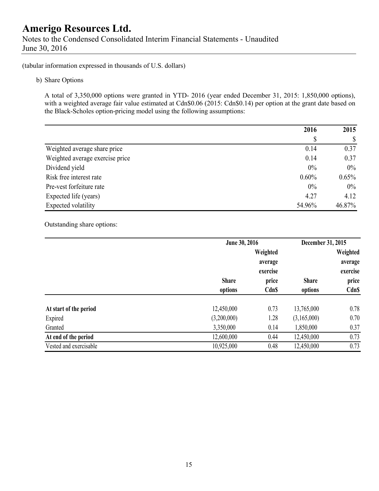Notes to the Condensed Consolidated Interim Financial Statements - Unaudited June 30, 2016

(tabular information expressed in thousands of U.S. dollars)

b) Share Options

A total of 3,350,000 options were granted in YTD- 2016 (year ended December 31, 2015: 1,850,000 options), with a weighted average fair value estimated at Cdn\$0.06 (2015: Cdn\$0.14) per option at the grant date based on the Black-Scholes option-pricing model using the following assumptions:

|                                 | 2016     | 2015     |
|---------------------------------|----------|----------|
|                                 | \$       |          |
| Weighted average share price    | 0.14     | 0.37     |
| Weighted average exercise price | 0.14     | 0.37     |
| Dividend yield                  | 0%       | $0\%$    |
| Risk free interest rate         | $0.60\%$ | $0.65\%$ |
| Pre-vest forfeiture rate        | 0%       | $0\%$    |
| Expected life (years)           | 4.27     | 4.12     |
| Expected volatility             | 54.96%   | 46.87%   |

Outstanding share options:

|                        | June 30, 2016 |              | December 31, 2015 |              |
|------------------------|---------------|--------------|-------------------|--------------|
|                        |               | Weighted     |                   | Weighted     |
|                        |               | average      |                   | average      |
|                        |               | exercise     |                   | exercise     |
|                        | <b>Share</b>  | price        | <b>Share</b>      | price        |
|                        | options       | <b>Cdn\$</b> | options           | <b>Cdn\$</b> |
|                        |               |              |                   |              |
| At start of the period | 12,450,000    | 0.73         | 13,765,000        | 0.78         |
| Expired                | (3,200,000)   | 1.28         | (3,165,000)       | 0.70         |
| Granted                | 3,350,000     | 0.14         | 1,850,000         | 0.37         |
| At end of the period   | 12,600,000    | 0.44         | 12,450,000        | 0.73         |
| Vested and exercisable | 10,925,000    | 0.48         | 12,450,000        | 0.73         |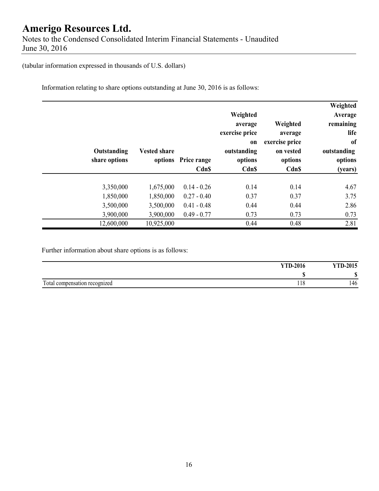Notes to the Condensed Consolidated Interim Financial Statements - Unaudited June 30, 2016

(tabular information expressed in thousands of U.S. dollars)

Information relating to share options outstanding at June 30, 2016 is as follows:

| Weighted<br>Average<br>remaining<br>life<br>of<br>outstanding<br>options<br>(years) | Weighted<br>average<br>exercise price<br>on vested<br>options<br>Cdn\$ | Weighted<br>average<br>exercise price<br>on<br>outstanding<br>options<br><b>Cdn\$</b> | options Price range<br>Cdn\$ | <b>Vested share</b> | Outstanding<br>share options |
|-------------------------------------------------------------------------------------|------------------------------------------------------------------------|---------------------------------------------------------------------------------------|------------------------------|---------------------|------------------------------|
| 4.67                                                                                | 0.14                                                                   | 0.14                                                                                  | $0.14 - 0.26$                | 1,675,000           | 3,350,000                    |
| 3.75                                                                                | 0.37                                                                   | 0.37                                                                                  | $0.27 - 0.40$                | 1,850,000           | 1,850,000                    |
| 2.86                                                                                | 0.44                                                                   | 0.44                                                                                  | $0.41 - 0.48$                | 3,500,000           | 3,500,000                    |
| 0.73                                                                                | 0.73                                                                   | 0.73                                                                                  | $0.49 - 0.77$                | 3,900,000           | 3,900,000                    |
| 2.81                                                                                | 0.48                                                                   | 0.44                                                                                  |                              | 10,925,000          | 12,600,000                   |

Further information about share options is as follows:

|                               | <b>YTD-2016</b> | <b>YTD-2015</b> |
|-------------------------------|-----------------|-----------------|
|                               |                 | ۱D              |
| Total compensation recognized | 10<br>110       | 146             |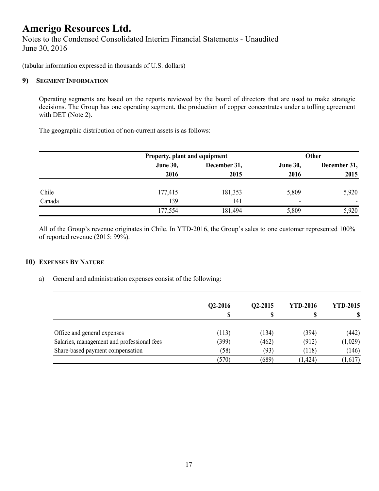Notes to the Condensed Consolidated Interim Financial Statements - Unaudited June 30, 2016

(tabular information expressed in thousands of U.S. dollars)

#### **9) SEGMENT INFORMATION**

Operating segments are based on the reports reviewed by the board of directors that are used to make strategic decisions. The Group has one operating segment, the production of copper concentrates under a tolling agreement with DET (Note 2).

The geographic distribution of non-current assets is as follows:

|        | Property, plant and equipment |              | <b>Other</b>    |                          |  |
|--------|-------------------------------|--------------|-----------------|--------------------------|--|
|        | <b>June 30,</b>               | December 31, | <b>June 30,</b> | December 31,             |  |
|        | 2016                          | 2015         | 2016            | 2015                     |  |
| Chile  | 177,415                       | 181,353      | 5,809           | 5,920                    |  |
| Canada | 139                           | 141          | ٠               | $\overline{\phantom{0}}$ |  |
|        | 177,554                       | 181,494      | 5,809           | 5,920                    |  |

All of the Group's revenue originates in Chile. In YTD-2016, the Group's sales to one customer represented 100% of reported revenue (2015: 99%).

#### **10) EXPENSES BY NATURE**

a) General and administration expenses consist of the following:

|                                            | Q2-2016 | Q2-2015 | <b>YTD-2016</b> | <b>YTD-2015</b> |
|--------------------------------------------|---------|---------|-----------------|-----------------|
|                                            | S       |         |                 |                 |
| Office and general expenses                | (113)   | (134)   | (394)           | (442)           |
| Salaries, management and professional fees | (399)   | (462)   | (912)           | (1,029)         |
| Share-based payment compensation           | (58)    | (93)    | (118)           | (146)           |
|                                            | (570)   | (689)   | (1, 424)        | (1,617)         |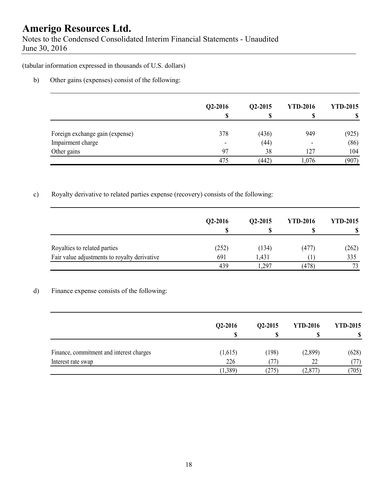Notes to the Condensed Consolidated Interim Financial Statements - Unaudited June 30, 2016

(tabular information expressed in thousands of U.S. dollars)

b) Other gains (expenses) consist of the following:

|                                 | $Q2-2016$<br>S           | Q2-2015 | <b>YTD-2016</b> | <b>YTD-2015</b> |
|---------------------------------|--------------------------|---------|-----------------|-----------------|
| Foreign exchange gain (expense) | 378                      | (436)   | 949             | (925)           |
| Impairment charge               | $\overline{\phantom{0}}$ | (44)    |                 | (86)            |
| Other gains                     | 97                       | 38      | 127             | 104             |
|                                 | 475                      | (442)   | 1,076           | (907)           |

### c) Royalty derivative to related parties expense (recovery) consists of the following:

|                                              | Q2-2016<br>S | $Q2 - 2015$ | <b>YTD-2016</b> | <b>YTD-2015</b> |
|----------------------------------------------|--------------|-------------|-----------------|-----------------|
| Royalties to related parties                 | (252)        | (134)       | (477)           | (262)           |
| Fair value adjustments to royalty derivative | 691          | 1,431       |                 | 335             |
|                                              | 439          | .297        | (478)           | 73              |

### d) Finance expense consists of the following:

|                                          | $Q2-2016$<br>J | $Q2 - 2015$<br>D | <b>YTD-2016</b><br>Φ | <b>YTD-2015</b> |
|------------------------------------------|----------------|------------------|----------------------|-----------------|
| Finance, commitment and interest charges | (1,615)        | (198)            | (2,899)              | (628)           |
| Interest rate swap                       | 226            |                  | 22                   | 77)             |
|                                          | 1,389)         | $^{(275)}$       | (2,877               | (705)           |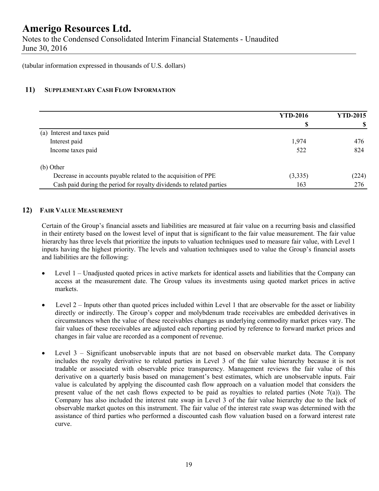Notes to the Condensed Consolidated Interim Financial Statements - Unaudited June 30, 2016

(tabular information expressed in thousands of U.S. dollars)

### **11) SUPPLEMENTARY CASH FLOW INFORMATION**

|                                                                      | <b>YTD-2016</b> | <b>YTD-2015</b> |
|----------------------------------------------------------------------|-----------------|-----------------|
|                                                                      |                 |                 |
| (a) Interest and taxes paid                                          |                 |                 |
| Interest paid                                                        | 1,974           | 476             |
| Income taxes paid                                                    | 522             | 824             |
| (b) Other                                                            |                 |                 |
| Decrease in accounts payable related to the acquisition of PPE       | (3,335)         | (224)           |
| Cash paid during the period for royalty dividends to related parties | 163             | 276             |

#### **12) FAIR VALUE MEASUREMENT**

Certain of the Group's financial assets and liabilities are measured at fair value on a recurring basis and classified in their entirety based on the lowest level of input that is significant to the fair value measurement. The fair value hierarchy has three levels that prioritize the inputs to valuation techniques used to measure fair value, with Level 1 inputs having the highest priority. The levels and valuation techniques used to value the Group's financial assets and liabilities are the following:

- Level 1 Unadjusted quoted prices in active markets for identical assets and liabilities that the Company can access at the measurement date. The Group values its investments using quoted market prices in active markets.
- $\bullet$  Level 2 Inputs other than quoted prices included within Level 1 that are observable for the asset or liability directly or indirectly. The Group's copper and molybdenum trade receivables are embedded derivatives in circumstances when the value of these receivables changes as underlying commodity market prices vary. The fair values of these receivables are adjusted each reporting period by reference to forward market prices and changes in fair value are recorded as a component of revenue.
- Level 3 Significant unobservable inputs that are not based on observable market data. The Company includes the royalty derivative to related parties in Level 3 of the fair value hierarchy because it is not tradable or associated with observable price transparency. Management reviews the fair value of this derivative on a quarterly basis based on management's best estimates, which are unobservable inputs. Fair value is calculated by applying the discounted cash flow approach on a valuation model that considers the present value of the net cash flows expected to be paid as royalties to related parties (Note 7(a)). The Company has also included the interest rate swap in Level 3 of the fair value hierarchy due to the lack of observable market quotes on this instrument. The fair value of the interest rate swap was determined with the assistance of third parties who performed a discounted cash flow valuation based on a forward interest rate curve.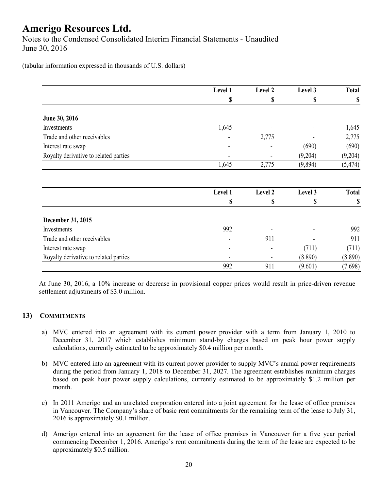Notes to the Condensed Consolidated Interim Financial Statements - Unaudited June 30, 2016

(tabular information expressed in thousands of U.S. dollars)

|                                       | Level 1 | Level 2 | Level 3 | <b>Total</b> |
|---------------------------------------|---------|---------|---------|--------------|
|                                       | \$      | \$      | \$      | \$           |
| June 30, 2016                         |         |         |         |              |
| Investments                           | 1,645   |         |         | 1,645        |
| Trade and other receivables           |         | 2,775   |         | 2,775        |
| Interest rate swap                    |         |         | (690)   | (690)        |
| Royalty derivative to related parties |         |         | (9,204) | (9,204)      |
|                                       | 1,645   | 2,775   | (9,894) | (5, 474)     |
|                                       | Level 1 | Level 2 | Level 3 | <b>Total</b> |
|                                       | \$      | \$      | \$      | \$           |
|                                       |         |         |         |              |
| December 31, 2015                     |         |         |         |              |
| Investments                           | 992     |         |         | 992          |
| Trade and other receivables           |         | 911     |         | 911          |
| Interest rate swap                    |         |         | (711)   | (711)        |
| Royalty derivative to related parties |         |         | (8.890) | (8.890)      |
|                                       | 992     | 911     | (9.601) | (7.698)      |

At June 30, 2016, a 10% increase or decrease in provisional copper prices would result in price-driven revenue settlement adjustments of \$3.0 million.

### **13) COMMITMENTS**

- a) MVC entered into an agreement with its current power provider with a term from January 1, 2010 to December 31, 2017 which establishes minimum stand-by charges based on peak hour power supply calculations, currently estimated to be approximately \$0.4 million per month.
- b) MVC entered into an agreement with its current power provider to supply MVC's annual power requirements during the period from January 1, 2018 to December 31, 2027. The agreement establishes minimum charges based on peak hour power supply calculations, currently estimated to be approximately \$1.2 million per month.
- c) In 2011 Amerigo and an unrelated corporation entered into a joint agreement for the lease of office premises in Vancouver. The Company's share of basic rent commitments for the remaining term of the lease to July 31, 2016 is approximately \$0.1 million.
- d) Amerigo entered into an agreement for the lease of office premises in Vancouver for a five year period commencing December 1, 2016. Amerigo's rent commitments during the term of the lease are expected to be approximately \$0.5 million.